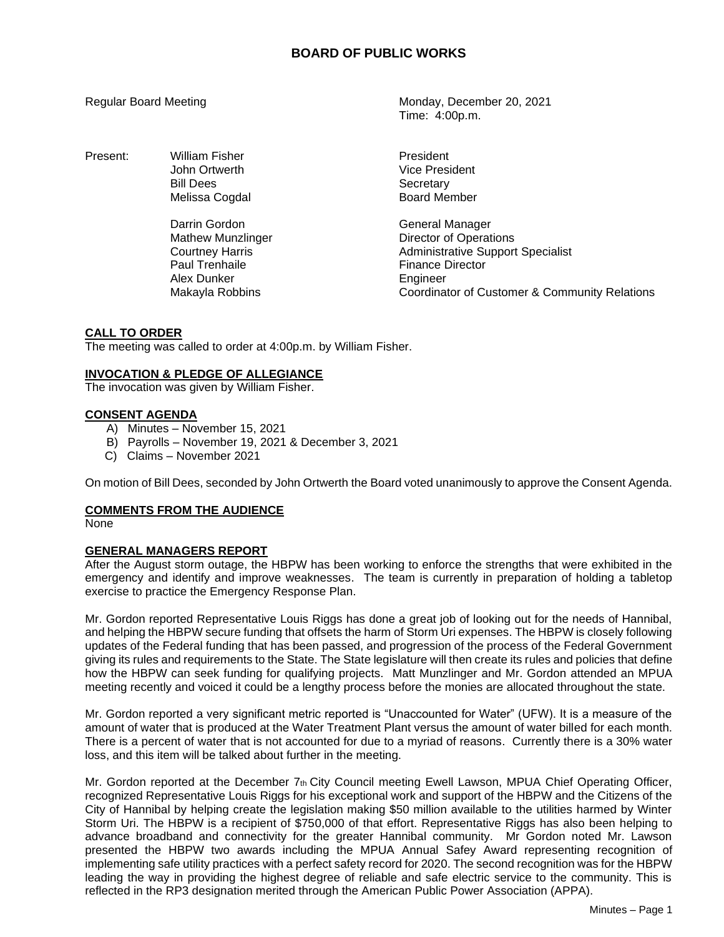Present: William Fisher **President** President Bill Dees Secretary

> Darrin Gordon General Manager Paul Trenhaile **Finance Director** Alex Dunker **Engineer**

Regular Board Meeting Monday, December 20, 2021 Time: 4:00p.m.

> John Ortwerth **Vice President** Melissa Cogdal **Board Member**

Mathew Munzlinger **Director of Operations** Courtney Harris **Administrative Support Specialist** Makayla Robbins Coordinator of Customer & Community Relations

## **CALL TO ORDER**

The meeting was called to order at 4:00p.m. by William Fisher.

# **INVOCATION & PLEDGE OF ALLEGIANCE**

The invocation was given by William Fisher.

## **CONSENT AGENDA**

- A) Minutes November 15, 2021
- B) Payrolls November 19, 2021 & December 3, 2021
- C) Claims November 2021

On motion of Bill Dees, seconded by John Ortwerth the Board voted unanimously to approve the Consent Agenda.

## **COMMENTS FROM THE AUDIENCE**

None

## **GENERAL MANAGERS REPORT**

After the August storm outage, the HBPW has been working to enforce the strengths that were exhibited in the emergency and identify and improve weaknesses. The team is currently in preparation of holding a tabletop exercise to practice the Emergency Response Plan.

Mr. Gordon reported Representative Louis Riggs has done a great job of looking out for the needs of Hannibal, and helping the HBPW secure funding that offsets the harm of Storm Uri expenses. The HBPW is closely following updates of the Federal funding that has been passed, and progression of the process of the Federal Government giving its rules and requirements to the State. The State legislature will then create its rules and policies that define how the HBPW can seek funding for qualifying projects. Matt Munzlinger and Mr. Gordon attended an MPUA meeting recently and voiced it could be a lengthy process before the monies are allocated throughout the state.

Mr. Gordon reported a very significant metric reported is "Unaccounted for Water" (UFW). It is a measure of the amount of water that is produced at the Water Treatment Plant versus the amount of water billed for each month. There is a percent of water that is not accounted for due to a myriad of reasons. Currently there is a 30% water loss, and this item will be talked about further in the meeting.

Mr. Gordon reported at the December  $7<sub>th</sub>$  City Council meeting Ewell Lawson, MPUA Chief Operating Officer, recognized Representative Louis Riggs for his exceptional work and support of the HBPW and the Citizens of the City of Hannibal by helping create the legislation making \$50 million available to the utilities harmed by Winter Storm Uri. The HBPW is a recipient of \$750,000 of that effort. Representative Riggs has also been helping to advance broadband and connectivity for the greater Hannibal community. Mr Gordon noted Mr. Lawson presented the HBPW two awards including the MPUA Annual Safey Award representing recognition of implementing safe utility practices with a perfect safety record for 2020. The second recognition was for the HBPW leading the way in providing the highest degree of reliable and safe electric service to the community. This is reflected in the RP3 designation merited through the American Public Power Association (APPA).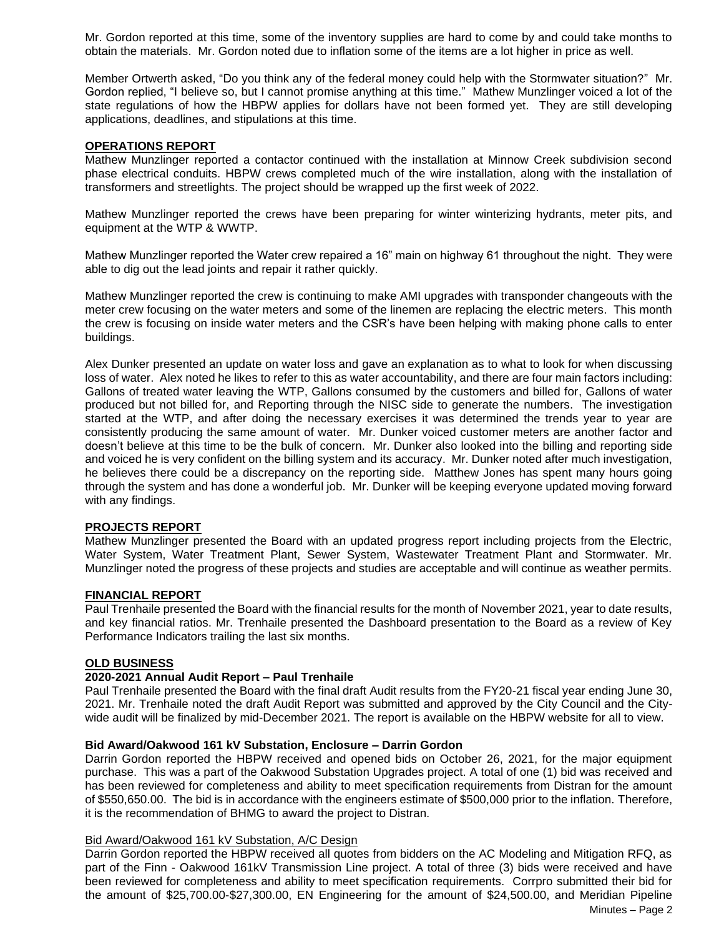Mr. Gordon reported at this time, some of the inventory supplies are hard to come by and could take months to obtain the materials. Mr. Gordon noted due to inflation some of the items are a lot higher in price as well.

Member Ortwerth asked, "Do you think any of the federal money could help with the Stormwater situation?" Mr. Gordon replied, "I believe so, but I cannot promise anything at this time." Mathew Munzlinger voiced a lot of the state regulations of how the HBPW applies for dollars have not been formed yet. They are still developing applications, deadlines, and stipulations at this time.

## **OPERATIONS REPORT**

Mathew Munzlinger reported a contactor continued with the installation at Minnow Creek subdivision second phase electrical conduits. HBPW crews completed much of the wire installation, along with the installation of transformers and streetlights. The project should be wrapped up the first week of 2022.

Mathew Munzlinger reported the crews have been preparing for winter winterizing hydrants, meter pits, and equipment at the WTP & WWTP.

Mathew Munzlinger reported the Water crew repaired a 16" main on highway 61 throughout the night. They were able to dig out the lead joints and repair it rather quickly.

Mathew Munzlinger reported the crew is continuing to make AMI upgrades with transponder changeouts with the meter crew focusing on the water meters and some of the linemen are replacing the electric meters. This month the crew is focusing on inside water meters and the CSR's have been helping with making phone calls to enter buildings.

Alex Dunker presented an update on water loss and gave an explanation as to what to look for when discussing loss of water. Alex noted he likes to refer to this as water accountability, and there are four main factors including: Gallons of treated water leaving the WTP, Gallons consumed by the customers and billed for, Gallons of water produced but not billed for, and Reporting through the NISC side to generate the numbers. The investigation started at the WTP, and after doing the necessary exercises it was determined the trends year to year are consistently producing the same amount of water. Mr. Dunker voiced customer meters are another factor and doesn't believe at this time to be the bulk of concern. Mr. Dunker also looked into the billing and reporting side and voiced he is very confident on the billing system and its accuracy. Mr. Dunker noted after much investigation, he believes there could be a discrepancy on the reporting side. Matthew Jones has spent many hours going through the system and has done a wonderful job. Mr. Dunker will be keeping everyone updated moving forward with any findings.

## **PROJECTS REPORT**

Mathew Munzlinger presented the Board with an updated progress report including projects from the Electric, Water System, Water Treatment Plant, Sewer System, Wastewater Treatment Plant and Stormwater. Mr. Munzlinger noted the progress of these projects and studies are acceptable and will continue as weather permits.

## **FINANCIAL REPORT**

Paul Trenhaile presented the Board with the financial results for the month of November 2021, year to date results, and key financial ratios. Mr. Trenhaile presented the Dashboard presentation to the Board as a review of Key Performance Indicators trailing the last six months.

## **OLD BUSINESS**

## **2020-2021 Annual Audit Report – Paul Trenhaile**

Paul Trenhaile presented the Board with the final draft Audit results from the FY20-21 fiscal year ending June 30, 2021. Mr. Trenhaile noted the draft Audit Report was submitted and approved by the City Council and the Citywide audit will be finalized by mid-December 2021. The report is available on the HBPW website for all to view.

#### **Bid Award/Oakwood 161 kV Substation, Enclosure – Darrin Gordon**

Darrin Gordon reported the HBPW received and opened bids on October 26, 2021, for the major equipment purchase. This was a part of the Oakwood Substation Upgrades project. A total of one (1) bid was received and has been reviewed for completeness and ability to meet specification requirements from Distran for the amount of \$550,650.00. The bid is in accordance with the engineers estimate of \$500,000 prior to the inflation. Therefore, it is the recommendation of BHMG to award the project to Distran.

### Bid Award/Oakwood 161 kV Substation, A/C Design

Darrin Gordon reported the HBPW received all quotes from bidders on the AC Modeling and Mitigation RFQ, as part of the Finn - Oakwood 161kV Transmission Line project. A total of three (3) bids were received and have been reviewed for completeness and ability to meet specification requirements. Corrpro submitted their bid for the amount of \$25,700.00-\$27,300.00, EN Engineering for the amount of \$24,500.00, and Meridian Pipeline